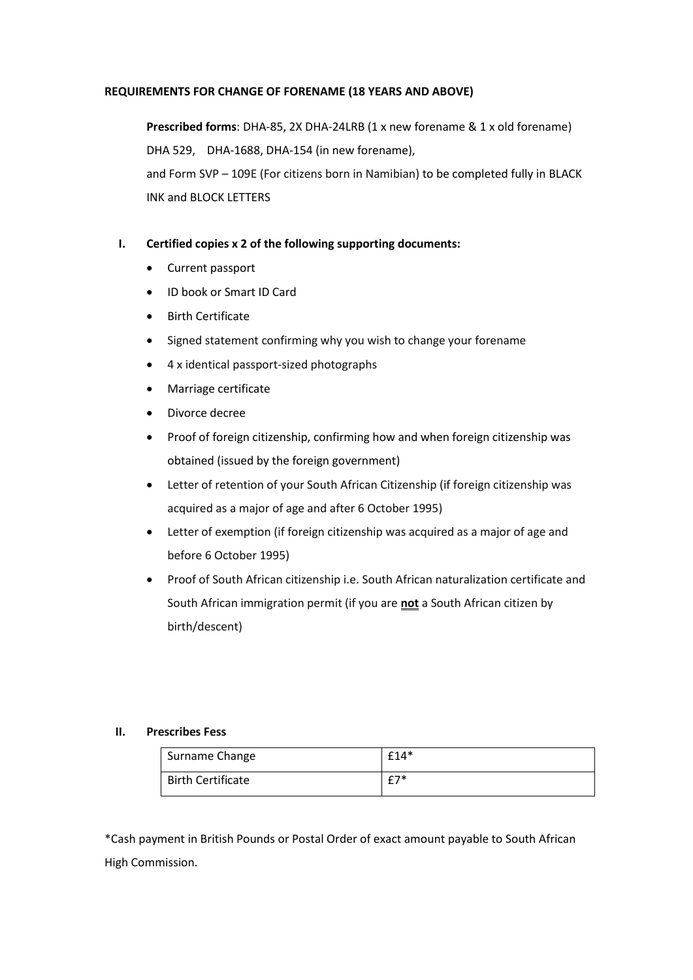## **REQUIREMENTS FOR CHANGE OF FORENAME (18 YEARS AND ABOVE)**

**Prescribed forms**: DHA-85, 2X DHA-24LRB (1 x new forename & 1 x old forename) DHA 529, DHA-1688, DHA-154 (in new forename), and Form SVP – 109E (For citizens born in Namibian) to be completed fully in BLACK INK and BLOCK LETTERS

## **I. Certified copies x 2 of the following supporting documents:**

- Current passport
- ID book or Smart ID Card
- Birth Certificate
- Signed statement confirming why you wish to change your forename
- 4 x identical passport-sized photographs
- Marriage certificate
- Divorce decree
- Proof of foreign citizenship, confirming how and when foreign citizenship was obtained (issued by the foreign government)
- Letter of retention of your South African Citizenship (if foreign citizenship was acquired as a major of age and after 6 October 1995)
- Letter of exemption (if foreign citizenship was acquired as a major of age and before 6 October 1995)
- Proof of South African citizenship i.e. South African naturalization certificate and South African immigration permit (if you are **not** a South African citizen by birth/descent)

## **II. Prescribes Fess**

| Surname Change           | $£14*$ |
|--------------------------|--------|
| <b>Birth Certificate</b> | $f7*$  |

\*Cash payment in British Pounds or Postal Order of exact amount payable to South African High Commission.